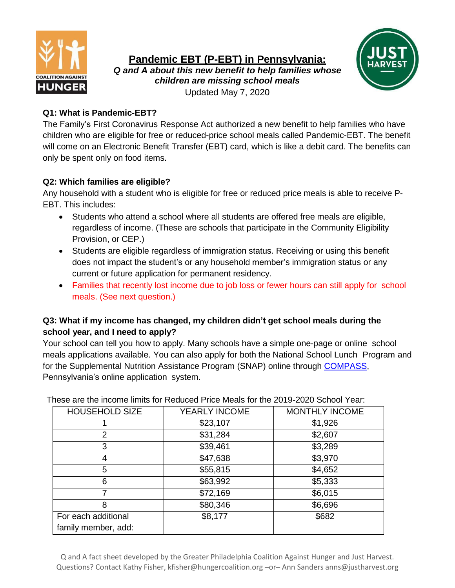

**Pandemic EBT (P-EBT) in Pennsylvania:**

*Q and A about this new benefit to help families whose children are missing school meals* Updated May 7, 2020



### **Q1: What is Pandemic-EBT?**

The Family's First Coronavirus Response Act authorized a new benefit to help families who have children who are eligible for free or reduced-price school meals called Pandemic-EBT. The benefit will come on an Electronic Benefit Transfer (EBT) card, which is like a debit card. The benefits can only be spent only on food items.

# **Q2: Which families are eligible?**

Any household with a student who is eligible for free or reduced price meals is able to receive P-EBT. This includes:

- Students who attend a school where all students are offered free meals are eligible, regardless of income. (These are schools that participate in the Community Eligibility Provision, or CEP.)
- Students are eligible regardless of immigration status. Receiving or using this benefit does not impact the student's or any household member's immigration status or any current or future application for permanent residency.
- Families that recently lost income due to job loss or fewer hours can still apply for school meals. (See next question.)

# **Q3: What if my income has changed, my children didn't get school meals during the school year, and I need to apply?**

Your school can tell you how to apply. Many schools have a simple one-page or online school meals applications available. You can also apply for both the National School Lunch Program and for the Supplemental Nutrition Assistance Program (SNAP) online through [COMPASS,](https://www.compass.state.pa.us/compass.web/Public/CMPHome) Pennsylvania's online application system.

| <b>HOUSEHOLD SIZE</b> | YEARLY INCOME | <b>MONTHLY INCOME</b> |
|-----------------------|---------------|-----------------------|
|                       | \$23,107      | \$1,926               |
| 2                     | \$31,284      | \$2,607               |
| 3                     | \$39,461      | \$3,289               |
| 4                     | \$47,638      | \$3,970               |
| 5                     | \$55,815      | \$4,652               |
| 6                     | \$63,992      | \$5,333               |
|                       | \$72,169      | \$6,015               |
| 8                     | \$80,346      | \$6,696               |
| For each additional   | \$8,177       | \$682                 |
| family member, add:   |               |                       |

These are the income limits for Reduced Price Meals for the 2019-2020 School Year:

Q and A fact sheet developed by the Greater Philadelphia Coalition Against Hunger and Just Harvest. Questions? Contact Kathy Fisher, kfisher@hungercoalition.org –or– Ann Sanders anns@justharvest.org